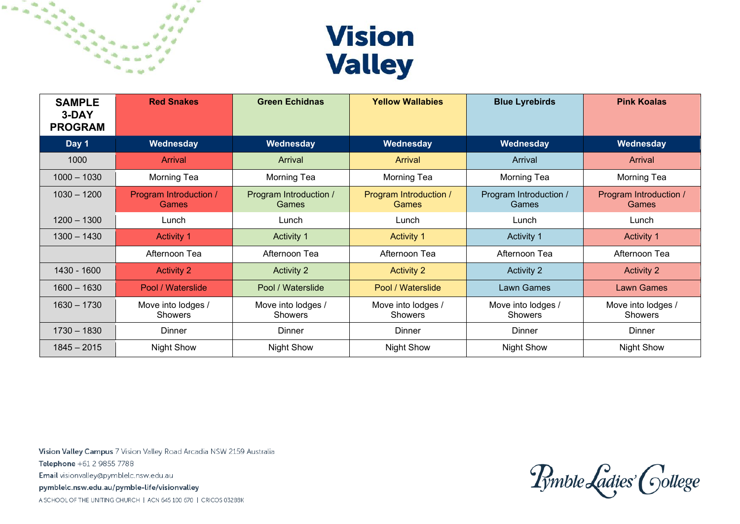

| <b>SAMPLE</b><br>3-DAY<br><b>PROGRAM</b> | <b>Red Snakes</b>               | <b>Green Echidnas</b>           | <b>Yellow Wallabies</b>                | <b>Blue Lyrebirds</b>           | <b>Pink Koalas</b>              |
|------------------------------------------|---------------------------------|---------------------------------|----------------------------------------|---------------------------------|---------------------------------|
| Day 1                                    | Wednesday                       | Wednesday                       | Wednesday                              | Wednesday                       | Wednesday                       |
| 1000                                     | <b>Arrival</b>                  | Arrival                         | Arrival                                | Arrival                         | Arrival                         |
| $1000 - 1030$                            | Morning Tea                     | Morning Tea                     | Morning Tea                            | <b>Morning Tea</b>              | Morning Tea                     |
| $1030 - 1200$                            | Program Introduction /<br>Games | Program Introduction /<br>Games | Program Introduction /<br><b>Games</b> | Program Introduction /<br>Games | Program Introduction /<br>Games |
| $1200 - 1300$                            | Lunch                           | Lunch                           | Lunch                                  | Lunch                           | Lunch                           |
| $1300 - 1430$                            | <b>Activity 1</b>               | <b>Activity 1</b>               | <b>Activity 1</b>                      | Activity 1                      | <b>Activity 1</b>               |
|                                          | Afternoon Tea                   | Afternoon Tea                   | Afternoon Tea                          | Afternoon Tea                   | Afternoon Tea                   |
| 1430 - 1600                              | <b>Activity 2</b>               | <b>Activity 2</b>               | <b>Activity 2</b>                      | <b>Activity 2</b>               | <b>Activity 2</b>               |
| $1600 - 1630$                            | Pool / Waterslide               | Pool / Waterslide               | Pool / Waterslide                      | Lawn Games                      | <b>Lawn Games</b>               |
| $1630 - 1730$                            | Move into lodges /<br>Showers   | Move into lodges /<br>Showers   | Move into lodges /<br>Showers          | Move into lodges /<br>Showers   | Move into lodges /<br>Showers   |
| $1730 - 1830$                            | <b>Dinner</b>                   | Dinner                          | Dinner                                 | <b>Dinner</b>                   | Dinner                          |
| $1845 - 2015$                            | <b>Night Show</b>               | <b>Night Show</b>               | <b>Night Show</b>                      | <b>Night Show</b>               | <b>Night Show</b>               |

Vision Valley Campus 7 Vision Valley Road Arcadia NSW 2159 Australia Telephone +61 2 9855 7788 Email visionvalley@pymblelc.nsw.edu.au pymblelc.nsw.edu.au/pymble-life/visionvalley A SCHOOL OF THE UNITING CHURCH | ACN 645 100 670 | CRICOS 03288K

Pymble Ladies' College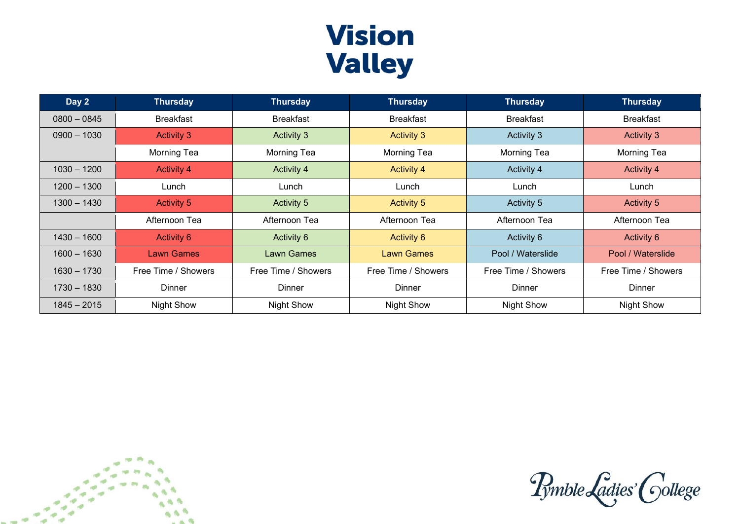## **Vision Valley**

| Day 2         | <b>Thursday</b>     | <b>Thursday</b>     | <b>Thursday</b>     | <b>Thursday</b>     | <b>Thursday</b>     |
|---------------|---------------------|---------------------|---------------------|---------------------|---------------------|
| $0800 - 0845$ | <b>Breakfast</b>    | <b>Breakfast</b>    | <b>Breakfast</b>    | <b>Breakfast</b>    | <b>Breakfast</b>    |
| $0900 - 1030$ | <b>Activity 3</b>   | Activity 3          | <b>Activity 3</b>   | Activity 3          | Activity 3          |
|               | Morning Tea         | Morning Tea         | Morning Tea         | Morning Tea         | Morning Tea         |
| $1030 - 1200$ | <b>Activity 4</b>   | <b>Activity 4</b>   | <b>Activity 4</b>   | Activity 4          | <b>Activity 4</b>   |
| $1200 - 1300$ | Lunch               | Lunch               | Lunch               | Lunch               | Lunch               |
| $1300 - 1430$ | <b>Activity 5</b>   | Activity 5          | <b>Activity 5</b>   | <b>Activity 5</b>   | Activity 5          |
|               | Afternoon Tea       | Afternoon Tea       | Afternoon Tea       | Afternoon Tea       | Afternoon Tea       |
| $1430 - 1600$ | <b>Activity 6</b>   | Activity 6          | Activity 6          | Activity 6          | Activity 6          |
| $1600 - 1630$ | Lawn Games          | <b>Lawn Games</b>   | <b>Lawn Games</b>   | Pool / Waterslide   | Pool / Waterslide   |
| $1630 - 1730$ | Free Time / Showers | Free Time / Showers | Free Time / Showers | Free Time / Showers | Free Time / Showers |
| $1730 - 1830$ | <b>Dinner</b>       | Dinner              | <b>Dinner</b>       | Dinner              | Dinner              |
| $1845 - 2015$ | <b>Night Show</b>   | <b>Night Show</b>   | <b>Night Show</b>   | <b>Night Show</b>   | <b>Night Show</b>   |



Pymble Ladies' College